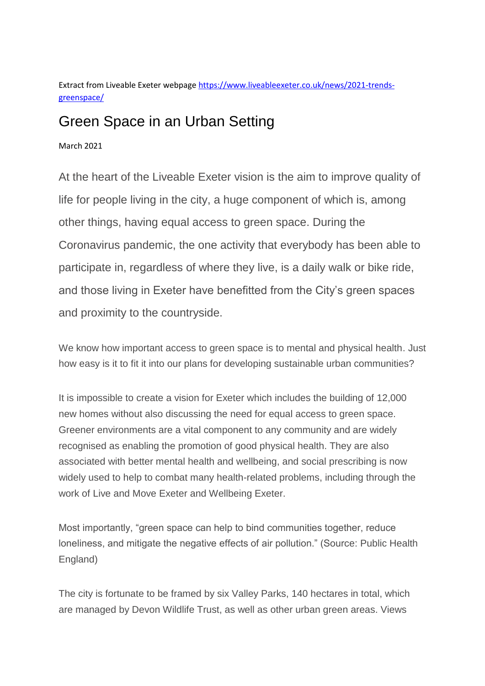Extract from Liveable Exeter webpag[e https://www.liveableexeter.co.uk/news/2021-trends](https://www.liveableexeter.co.uk/news/2021-trends-greenspace/)[greenspace/](https://www.liveableexeter.co.uk/news/2021-trends-greenspace/)

## Green Space in an Urban Setting

March 2021

At the heart of the Liveable Exeter vision is the aim to improve quality of life for people living in the city, a huge component of which is, among other things, having equal access to green space. During the Coronavirus pandemic, the one activity that everybody has been able to participate in, regardless of where they live, is a daily walk or bike ride, and those living in Exeter have benefitted from the City's green spaces and proximity to the countryside.

We know how important access to green space is to mental and physical health. Just how easy is it to fit it into our plans for developing sustainable urban communities?

It is impossible to create a vision for Exeter which includes the building of 12,000 new homes without also discussing the need for equal access to green space. Greener environments are a vital component to any community and are widely recognised as enabling the promotion of good physical health. They are also associated with better mental health and wellbeing, and social prescribing is now widely used to help to combat many health-related problems, including through the work of Live and Move Exeter and Wellbeing Exeter.

Most importantly, "green space can help to bind communities together, reduce loneliness, and mitigate the negative effects of air pollution." (Source: Public Health England)

The city is fortunate to be framed by six Valley Parks, 140 hectares in total, which are managed by Devon Wildlife Trust, as well as other urban green areas. Views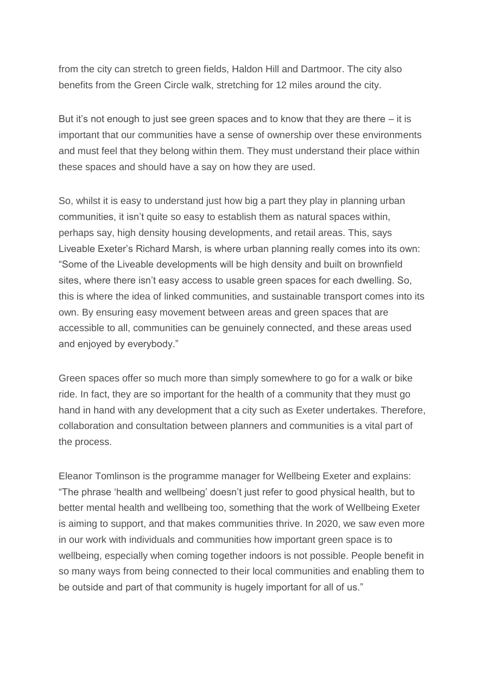from the city can stretch to green fields, Haldon Hill and Dartmoor. The city also benefits from the Green Circle walk, stretching for 12 miles around the city.

But it's not enough to just see green spaces and to know that they are there – it is important that our communities have a sense of ownership over these environments and must feel that they belong within them. They must understand their place within these spaces and should have a say on how they are used.

So, whilst it is easy to understand just how big a part they play in planning urban communities, it isn't quite so easy to establish them as natural spaces within, perhaps say, high density housing developments, and retail areas. This, says Liveable Exeter's Richard Marsh, is where urban planning really comes into its own: "Some of the Liveable developments will be high density and built on brownfield sites, where there isn't easy access to usable green spaces for each dwelling. So, this is where the idea of linked communities, and sustainable transport comes into its own. By ensuring easy movement between areas and green spaces that are accessible to all, communities can be genuinely connected, and these areas used and enjoyed by everybody."

Green spaces offer so much more than simply somewhere to go for a walk or bike ride. In fact, they are so important for the health of a community that they must go hand in hand with any development that a city such as Exeter undertakes. Therefore, collaboration and consultation between planners and communities is a vital part of the process.

Eleanor Tomlinson is the programme manager for Wellbeing Exeter and explains: "The phrase 'health and wellbeing' doesn't just refer to good physical health, but to better mental health and wellbeing too, something that the work of Wellbeing Exeter is aiming to support, and that makes communities thrive. In 2020, we saw even more in our work with individuals and communities how important green space is to wellbeing, especially when coming together indoors is not possible. People benefit in so many ways from being connected to their local communities and enabling them to be outside and part of that community is hugely important for all of us."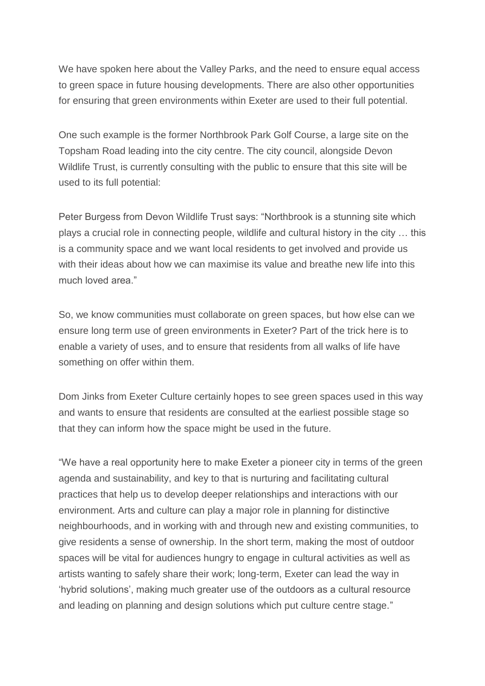We have spoken here about the Valley Parks, and the need to ensure equal access to green space in future housing developments. There are also other opportunities for ensuring that green environments within Exeter are used to their full potential.

One such example is the former Northbrook Park Golf Course, a large site on the Topsham Road leading into the city centre. The city council, alongside Devon Wildlife Trust, is currently consulting with the public to ensure that this site will be used to its full potential:

Peter Burgess from Devon Wildlife Trust says: "Northbrook is a stunning site which plays a crucial role in connecting people, wildlife and cultural history in the city … this is a community space and we want local residents to get involved and provide us with their ideas about how we can maximise its value and breathe new life into this much loved area."

So, we know communities must collaborate on green spaces, but how else can we ensure long term use of green environments in Exeter? Part of the trick here is to enable a variety of uses, and to ensure that residents from all walks of life have something on offer within them.

Dom Jinks from Exeter Culture certainly hopes to see green spaces used in this way and wants to ensure that residents are consulted at the earliest possible stage so that they can inform how the space might be used in the future.

"We have a real opportunity here to make Exeter a pioneer city in terms of the green agenda and sustainability, and key to that is nurturing and facilitating cultural practices that help us to develop deeper relationships and interactions with our environment. Arts and culture can play a major role in planning for distinctive neighbourhoods, and in working with and through new and existing communities, to give residents a sense of ownership. In the short term, making the most of outdoor spaces will be vital for audiences hungry to engage in cultural activities as well as artists wanting to safely share their work; long-term, Exeter can lead the way in 'hybrid solutions', making much greater use of the outdoors as a cultural resource and leading on planning and design solutions which put culture centre stage."